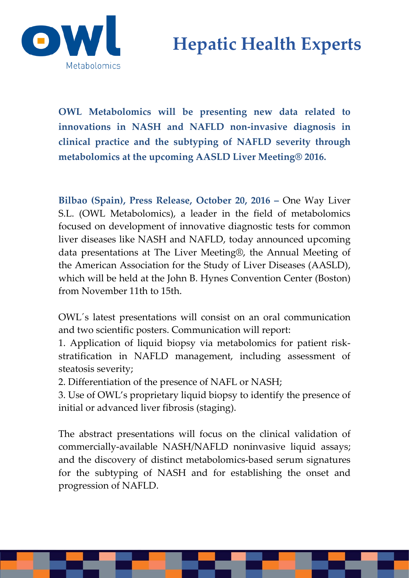# **Hepatic Health Experts**



**OWL Metabolomics will be presenting new data related to innovations in NASH and NAFLD non-invasive diagnosis in clinical practice and the subtyping of NAFLD severity through metabolomics at the upcoming AASLD Liver Meeting® 2016.**

**Bilbao (Spain), Press Release, October 20, 2016 –** One Way Liver S.L. (OWL Metabolomics), a leader in the field of metabolomics focused on development of innovative diagnostic tests for common liver diseases like NASH and NAFLD, today announced upcoming data presentations at The Liver Meeting®, the Annual Meeting of the American Association for the Study of Liver Diseases (AASLD), which will be held at the John B. Hynes Convention Center (Boston) from November 11th to 15th.

OWL´s latest presentations will consist on an oral communication and two scientific posters. Communication will report:

1. Application of liquid biopsy via metabolomics for patient riskstratification in NAFLD management, including assessment of steatosis severity;

2. Differentiation of the presence of NAFL or NASH;

3. Use of OWL's proprietary liquid biopsy to identify the presence of initial or advanced liver fibrosis (staging).

The abstract presentations will focus on the clinical validation of commercially-available NASH/NAFLD noninvasive liquid assays; and the discovery of distinct metabolomics-based serum signatures for the subtyping of NASH and for establishing the onset and progression of NAFLD.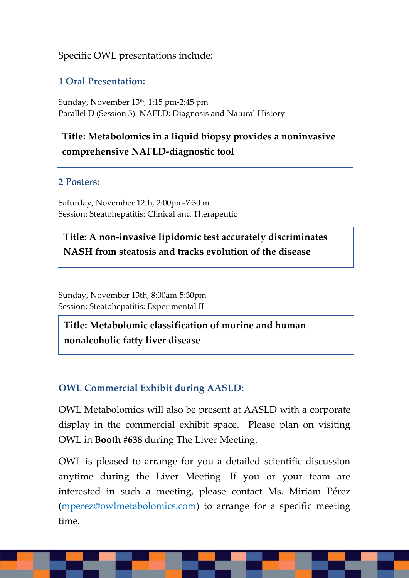## Specific OWL presentations include:

# **1 Oral Presentation:**

Sunday, November 13<sup>th</sup>, 1:15 pm-2:45 pm Parallel D (Session 5): NAFLD: Diagnosis and Natural History

**Title: Metabolomics in a liquid biopsy provides a noninvasive comprehensive NAFLD-diagnostic tool**

### **2 Posters:**

Saturday, November 12th, 2:00pm-7:30 m Session: Steatohepatitis: Clinical and Therapeutic

**Title: A non-invasive lipidomic test accurately discriminates NASH from steatosis and tracks evolution of the disease**

Sunday, November 13th, 8:00am-5:30pm Session: Steatohepatitis: Experimental II

**Title: Metabolomic classification of murine and human nonalcoholic fatty liver disease**

# **OWL Commercial Exhibit during AASLD:**

OWL Metabolomics will also be present at AASLD with a corporate display in the commercial exhibit space. Please plan on visiting OWL in **Booth #638** during The Liver Meeting.

OWL is pleased to arrange for you a detailed scientific discussion anytime during the Liver Meeting. If you or your team are interested in such a meeting, please contact Ms. Miriam Pérez (mperez@owlmetabolomics.com) to arrange for a specific meeting time.